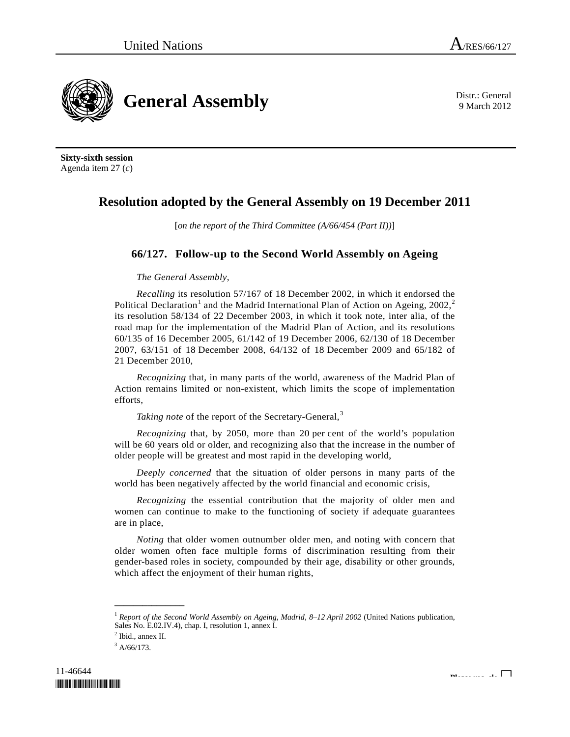<span id="page-0-3"></span>**General Assembly** Distr.: General **Constant Assembly** 

9 March 2012

**Sixty-sixth session**  Agenda item 27 (*c*)

## **Resolution adopted by the General Assembly on 19 December 2011**

[*on the report of the Third Committee (A/66/454 (Part II))*]

## **66/127. Follow-up to the Second World Assembly on Ageing**

*The General Assembly*,

*Recalling* its resolution 57/167 of 18 December 2002, in which it endorsed the Political Declaration<sup>[1](#page-0-0)</sup> and the Madrid International Plan of Action on Ageing, [2](#page-0-1)002,<sup>2</sup> its resolution 58/134 of 22 December 2003, in which it took note, inter alia, of the road map for the implementation of the Madrid Plan of Action, and its resolutions 60/135 of 16 December 2005, 61/142 of 19 December 2006, 62/130 of 18 December 2007, 63/151 of 18 December 2008, 64/132 of 18 December 2009 and 65/182 of 21 December 2010,

*Recognizing* that, in many parts of the world, awareness of the Madrid Plan of Action remains limited or non-existent, which limits the scope of implementation efforts,

*Taking note* of the report of the Secretary-General,<sup>[3](#page-0-2)</sup>

*Recognizing* that, by 2050, more than 20 per cent of the world's population will be 60 years old or older, and recognizing also that the increase in the number of older people will be greatest and most rapid in the developing world,

*Deeply concerned* that the situation of older persons in many parts of the world has been negatively affected by the world financial and economic crisis,

*Recognizing* the essential contribution that the majority of older men and women can continue to make to the functioning of society if adequate guarantees are in place,

*Noting* that older women outnumber older men, and noting with concern that older women often face multiple forms of discrimination resulting from their gender-based roles in society, compounded by their age, disability or other grounds, which affect the enjoyment of their human rights,

**\_\_\_\_\_\_\_\_\_\_\_\_\_\_\_** 

<span id="page-0-0"></span><sup>1</sup> *Report of the Second World Assembly on Ageing, Madrid, 8–12 April 2002* (United Nations publication, Sales No. E.02.IV.4), chap. I, resolution 1, annex I.

<span id="page-0-2"></span><span id="page-0-1"></span><sup>&</sup>lt;sup>2</sup> Ibid., annex II.

 $3$  A/66/173.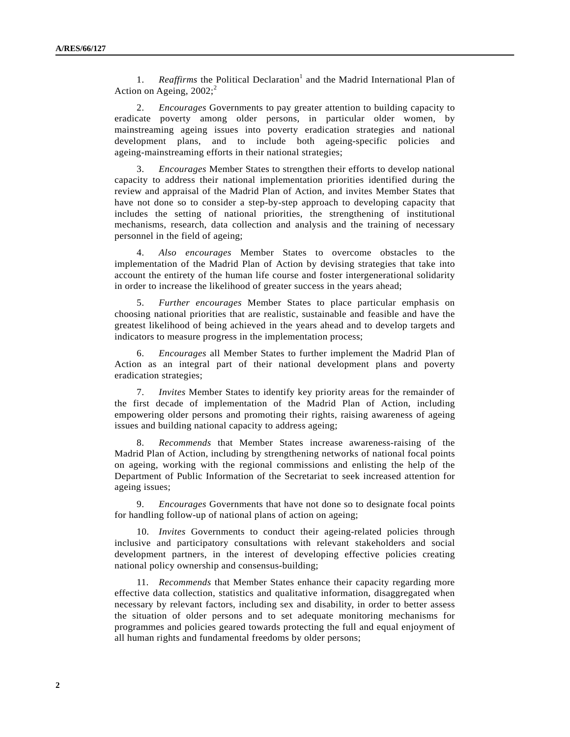[1](#page-0-3). *Reaffirms* the Political Declaration<sup>1</sup> and the Madrid International Plan of Action on Ageing,  $2002$  $2002$ ;<sup>2</sup>

 2. *Encourages* Governments to pay greater attention to building capacity to eradicate poverty among older persons, in particular older women, by mainstreaming ageing issues into poverty eradication strategies and national development plans, and to include both ageing-specific policies and ageing-mainstreaming efforts in their national strategies;

 3. *Encourages* Member States to strengthen their efforts to develop national capacity to address their national implementation priorities identified during the review and appraisal of the Madrid Plan of Action, and invites Member States that have not done so to consider a step-by-step approach to developing capacity that includes the setting of national priorities, the strengthening of institutional mechanisms, research, data collection and analysis and the training of necessary personnel in the field of ageing;

 4. *Also encourages* Member States to overcome obstacles to the implementation of the Madrid Plan of Action by devising strategies that take into account the entirety of the human life course and foster intergenerational solidarity in order to increase the likelihood of greater success in the years ahead;

 5. *Further encourages* Member States to place particular emphasis on choosing national priorities that are realistic, sustainable and feasible and have the greatest likelihood of being achieved in the years ahead and to develop targets and indicators to measure progress in the implementation process;

 6. *Encourages* all Member States to further implement the Madrid Plan of Action as an integral part of their national development plans and poverty eradication strategies;

 7. *Invites* Member States to identify key priority areas for the remainder of the first decade of implementation of the Madrid Plan of Action, including empowering older persons and promoting their rights, raising awareness of ageing issues and building national capacity to address ageing;

 8. *Recommends* that Member States increase awareness-raising of the Madrid Plan of Action, including by strengthening networks of national focal points on ageing, working with the regional commissions and enlisting the help of the Department of Public Information of the Secretariat to seek increased attention for ageing issues;

 9. *Encourages* Governments that have not done so to designate focal points for handling follow-up of national plans of action on ageing;

 10. *Invites* Governments to conduct their ageing-related policies through inclusive and participatory consultations with relevant stakeholders and social development partners, in the interest of developing effective policies creating national policy ownership and consensus-building;

 11. *Recommends* that Member States enhance their capacity regarding more effective data collection, statistics and qualitative information, disaggregated when necessary by relevant factors, including sex and disability, in order to better assess the situation of older persons and to set adequate monitoring mechanisms for programmes and policies geared towards protecting the full and equal enjoyment of all human rights and fundamental freedoms by older persons;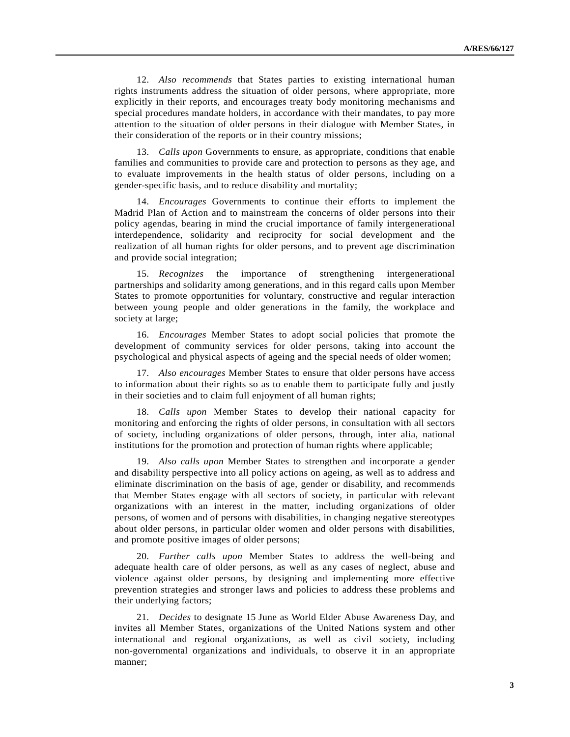12. *Also recommends* that States parties to existing international human rights instruments address the situation of older persons, where appropriate, more explicitly in their reports, and encourages treaty body monitoring mechanisms and special procedures mandate holders, in accordance with their mandates, to pay more attention to the situation of older persons in their dialogue with Member States, in their consideration of the reports or in their country missions;

 13. *Calls upon* Governments to ensure, as appropriate, conditions that enable families and communities to provide care and protection to persons as they age, and to evaluate improvements in the health status of older persons, including on a gender-specific basis, and to reduce disability and mortality;

 14. *Encourages* Governments to continue their efforts to implement the Madrid Plan of Action and to mainstream the concerns of older persons into their policy agendas, bearing in mind the crucial importance of family intergenerational interdependence, solidarity and reciprocity for social development and the realization of all human rights for older persons, and to prevent age discrimination and provide social integration;

 15. *Recognizes* the importance of strengthening intergenerational partnerships and solidarity among generations, and in this regard calls upon Member States to promote opportunities for voluntary, constructive and regular interaction between young people and older generations in the family, the workplace and society at large;

 16. *Encourages* Member States to adopt social policies that promote the development of community services for older persons, taking into account the psychological and physical aspects of ageing and the special needs of older women;

 17. *Also encourages* Member States to ensure that older persons have access to information about their rights so as to enable them to participate fully and justly in their societies and to claim full enjoyment of all human rights;

 18. *Calls upon* Member States to develop their national capacity for monitoring and enforcing the rights of older persons, in consultation with all sectors of society, including organizations of older persons, through, inter alia, national institutions for the promotion and protection of human rights where applicable;

 19. *Also calls upon* Member States to strengthen and incorporate a gender and disability perspective into all policy actions on ageing, as well as to address and eliminate discrimination on the basis of age, gender or disability, and recommends that Member States engage with all sectors of society, in particular with relevant organizations with an interest in the matter, including organizations of older persons, of women and of persons with disabilities, in changing negative stereotypes about older persons, in particular older women and older persons with disabilities, and promote positive images of older persons;

 20. *Further calls upon* Member States to address the well-being and adequate health care of older persons, as well as any cases of neglect, abuse and violence against older persons, by designing and implementing more effective prevention strategies and stronger laws and policies to address these problems and their underlying factors;

 21. *Decides* to designate 15 June as World Elder Abuse Awareness Day, and invites all Member States, organizations of the United Nations system and other international and regional organizations, as well as civil society, including non-governmental organizations and individuals, to observe it in an appropriate manner;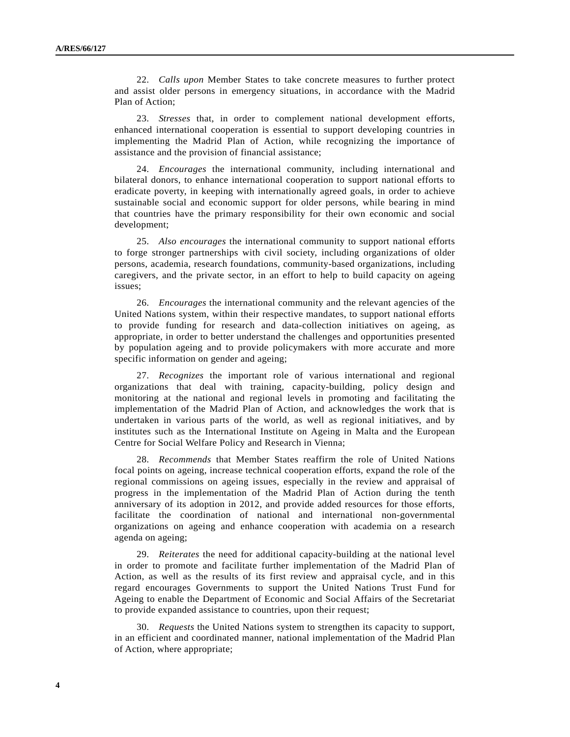22. *Calls upon* Member States to take concrete measures to further protect and assist older persons in emergency situations, in accordance with the Madrid Plan of Action;

 23. *Stresses* that, in order to complement national development efforts, enhanced international cooperation is essential to support developing countries in implementing the Madrid Plan of Action, while recognizing the importance of assistance and the provision of financial assistance;

 24. *Encourages* the international community, including international and bilateral donors, to enhance international cooperation to support national efforts to eradicate poverty, in keeping with internationally agreed goals, in order to achieve sustainable social and economic support for older persons, while bearing in mind that countries have the primary responsibility for their own economic and social development;

 25. *Also encourages* the international community to support national efforts to forge stronger partnerships with civil society, including organizations of older persons, academia, research foundations, community-based organizations, including caregivers, and the private sector, in an effort to help to build capacity on ageing issues;

 26. *Encourages* the international community and the relevant agencies of the United Nations system, within their respective mandates, to support national efforts to provide funding for research and data-collection initiatives on ageing, as appropriate, in order to better understand the challenges and opportunities presented by population ageing and to provide policymakers with more accurate and more specific information on gender and ageing;

 27. *Recognizes* the important role of various international and regional organizations that deal with training, capacity-building, policy design and monitoring at the national and regional levels in promoting and facilitating the implementation of the Madrid Plan of Action, and acknowledges the work that is undertaken in various parts of the world, as well as regional initiatives, and by institutes such as the International Institute on Ageing in Malta and the European Centre for Social Welfare Policy and Research in Vienna;

 28. *Recommends* that Member States reaffirm the role of United Nations focal points on ageing, increase technical cooperation efforts, expand the role of the regional commissions on ageing issues, especially in the review and appraisal of progress in the implementation of the Madrid Plan of Action during the tenth anniversary of its adoption in 2012, and provide added resources for those efforts, facilitate the coordination of national and international non-governmental organizations on ageing and enhance cooperation with academia on a research agenda on ageing;

 29. *Reiterates* the need for additional capacity-building at the national level in order to promote and facilitate further implementation of the Madrid Plan of Action, as well as the results of its first review and appraisal cycle, and in this regard encourages Governments to support the United Nations Trust Fund for Ageing to enable the Department of Economic and Social Affairs of the Secretariat to provide expanded assistance to countries, upon their request;

 30. *Requests* the United Nations system to strengthen its capacity to support, in an efficient and coordinated manner, national implementation of the Madrid Plan of Action, where appropriate;